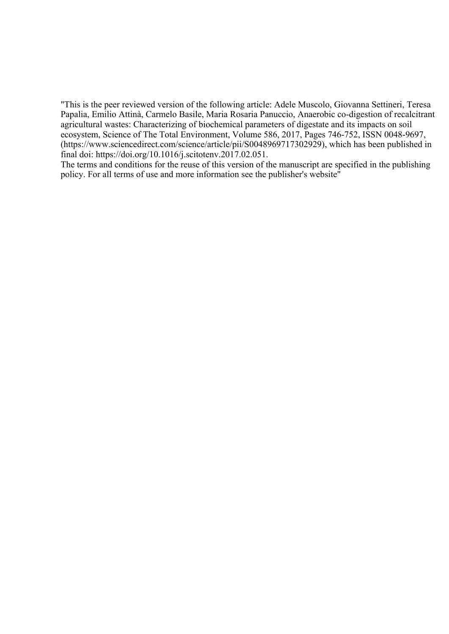"This is the peer reviewed version of the following article: Adele Muscolo, Giovanna Settineri, Teresa Papalia, Emilio Attinà, Carmelo Basile, Maria Rosaria Panuccio, Anaerobic co-digestion of recalcitrant agricultural wastes: Characterizing of biochemical parameters of digestate and its impacts on soil ecosystem, Science of The Total Environment, Volume 586, 2017, Pages 746-752, ISSN 0048-9697, (https://www.sciencedirect.com/science/article/pii/S0048969717302929), which has been published in final doi: https://doi.org/10.1016/j.scitotenv.2017.02.051.

The terms and conditions for the reuse of this version of the manuscript are specified in the publishing policy. For all terms of use and more information see the publisher's website"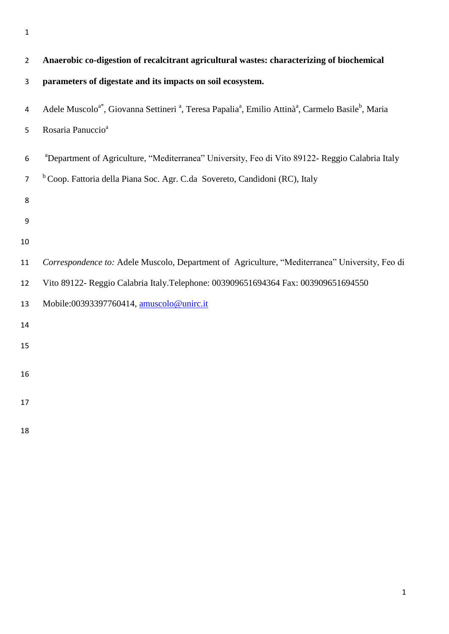| $\overline{2}$   | Anaerobic co-digestion of recalcitrant agricultural wastes: characterizing of biochemical                                                                      |
|------------------|----------------------------------------------------------------------------------------------------------------------------------------------------------------|
| 3                | parameters of digestate and its impacts on soil ecosystem.                                                                                                     |
| 4                | Adele Muscolo <sup>a*</sup> , Giovanna Settineri <sup>a</sup> , Teresa Papalia <sup>a</sup> , Emilio Attinà <sup>a</sup> , Carmelo Basile <sup>b</sup> , Maria |
| 5                | Rosaria Panuccio <sup>a</sup>                                                                                                                                  |
| 6                | <sup>a</sup> Department of Agriculture, "Mediterranea" University, Feo di Vito 89122- Reggio Calabria Italy                                                    |
| $\overline{7}$   | <sup>b</sup> Coop. Fattoria della Piana Soc. Agr. C.da Sovereto, Candidoni (RC), Italy                                                                         |
| 8                |                                                                                                                                                                |
| $\boldsymbol{9}$ |                                                                                                                                                                |
| 10               |                                                                                                                                                                |
| 11               | Correspondence to: Adele Muscolo, Department of Agriculture, "Mediterranea" University, Feo di                                                                 |
| 12               | Vito 89122- Reggio Calabria Italy. Telephone: 003909651694364 Fax: 003909651694550                                                                             |
| 13               | Mobile:00393397760414, amuscolo@unirc.it                                                                                                                       |
| 14               |                                                                                                                                                                |
| 15               |                                                                                                                                                                |
| 16               |                                                                                                                                                                |
| 17               |                                                                                                                                                                |
| 18               |                                                                                                                                                                |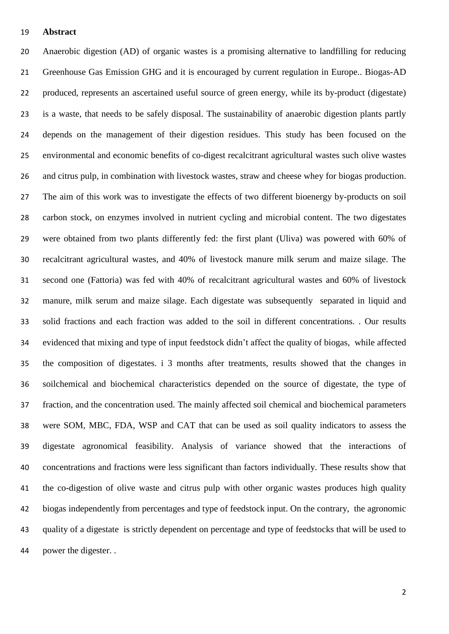### **Abstract**

 Anaerobic digestion (AD) of organic wastes is a promising alternative to landfilling for reducing Greenhouse Gas Emission GHG and it is encouraged by current regulation in Europe.. Biogas-AD produced, represents an ascertained useful source of green energy, while its by-product (digestate) is a waste, that needs to be safely disposal. The sustainability of anaerobic digestion plants partly depends on the management of their digestion residues. This study has been focused on the environmental and economic benefits of co-digest recalcitrant agricultural wastes such olive wastes and citrus pulp, in combination with livestock wastes, straw and cheese whey for biogas production. The aim of this work was to investigate the effects of two different bioenergy by-products on soil carbon stock, on enzymes involved in nutrient cycling and microbial content. The two digestates were obtained from two plants differently fed: the first plant (Uliva) was powered with 60% of recalcitrant agricultural wastes, and 40% of livestock manure milk serum and maize silage. The second one (Fattoria) was fed with 40% of recalcitrant agricultural wastes and 60% of livestock manure, milk serum and maize silage. Each digestate was subsequently separated in liquid and solid fractions and each fraction was added to the soil in different concentrations. . Our results evidenced that mixing and type of input feedstock didn't affect the quality of biogas, while affected the composition of digestates. i 3 months after treatments, results showed that the changes in soilchemical and biochemical characteristics depended on the source of digestate, the type of fraction, and the concentration used. The mainly affected soil chemical and biochemical parameters were SOM, MBC, FDA, WSP and CAT that can be used as soil quality indicators to assess the digestate agronomical feasibility. Analysis of variance showed that the interactions of concentrations and fractions were less significant than factors individually. These results show that the co-digestion of olive waste and citrus pulp with other organic wastes produces high quality biogas independently from percentages and type of feedstock input. On the contrary, the agronomic quality of a digestate is strictly dependent on percentage and type of feedstocks that will be used to power the digester. .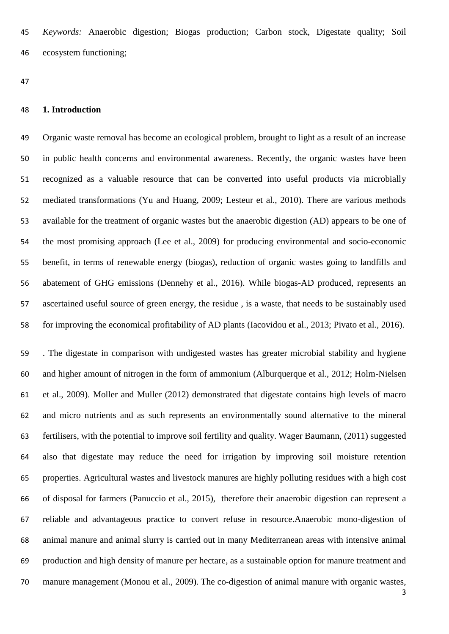*Keywords:* Anaerobic digestion; Biogas production; Carbon stock, Digestate quality; Soil ecosystem functioning;

### **1. Introduction**

 Organic waste removal has become an ecological problem, brought to light as a result of an increase in public health concerns and environmental awareness. Recently, the organic wastes have been recognized as a valuable resource that can be converted into useful products via microbially mediated transformations (Yu and Huang, 2009; Lesteur et al., 2010). There are various methods available for the treatment of organic wastes but the anaerobic digestion (AD) appears to be one of the most promising approach (Lee et al., 2009) for producing environmental and socio-economic benefit, in terms of renewable energy (biogas), reduction of organic wastes going to landfills and abatement of GHG emissions (Dennehy et al., 2016). While biogas-AD produced, represents an ascertained useful source of green energy, the residue , is a waste, that needs to be sustainably used for improving the economical profitability of AD plants (Iacovidou et al., 2013; Pivato et al., 2016).

 . The digestate in comparison with undigested wastes has greater microbial stability and hygiene and higher amount of nitrogen in the form of ammonium (Alburquerque et al., 2012; Holm-Nielsen et al., 2009). Moller and Muller (2012) demonstrated that digestate contains high levels of macro and micro nutrients and as such represents an environmentally sound alternative to the mineral fertilisers, with the potential to improve soil fertility and quality. Wager Baumann, (2011) suggested also that digestate may reduce the need for irrigation by improving soil moisture retention properties. Agricultural wastes and livestock manures are highly polluting residues with a high cost of disposal for farmers (Panuccio et al., 2015), therefore their anaerobic digestion can represent a reliable and advantageous practice to convert refuse in resource.Anaerobic mono-digestion of animal manure and animal slurry is carried out in many Mediterranean areas with intensive animal production and high density of manure per hectare, as a sustainable option for manure treatment and manure management (Monou et al., 2009). The co-digestion of animal manure with organic wastes,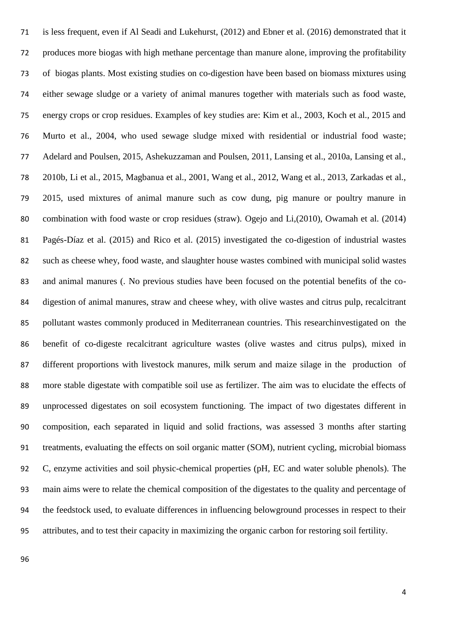is less frequent, even if Al Seadi and Lukehurst, (2012) and Ebner et al. (2016) demonstrated that it produces more biogas with high methane percentage than manure alone, improving the profitability of biogas plants. Most existing studies on co-digestion have been based on biomass mixtures using either sewage sludge or a variety of animal manures together with materials such as food waste, energy crops or crop residues. Examples of key studies are: Kim et al., 2003, Koch et al., 2015 and Murto et al., 2004, who used sewage sludge mixed with residential or industrial food waste; Adelard and Poulsen, 2015, Ashekuzzaman and Poulsen, 2011, Lansing et al., 2010a, Lansing et al., 2010b, Li et al., 2015, Magbanua et al., 2001, Wang et al., 2012, Wang et al., 2013, Zarkadas et al., 2015, used mixtures of animal manure such as cow dung, pig manure or poultry manure in combination with food waste or crop residues (straw). Ogejo and Li,(2010), Owamah et al. (2014) Pagés-Díaz et al. (2015) and Rico et al. (2015) investigated the co-digestion of industrial wastes such as cheese whey, food waste, and slaughter house wastes combined with municipal solid wastes and animal manures (. No previous studies have been focused on the potential benefits of the co- digestion of animal manures, straw and cheese whey, with olive wastes and citrus pulp, recalcitrant pollutant wastes commonly produced in Mediterranean countries. This researchinvestigated on the benefit of co-digeste recalcitrant agriculture wastes (olive wastes and citrus pulps), mixed in different proportions with livestock manures, milk serum and maize silage in the production of more stable digestate with compatible soil use as fertilizer. The aim was to elucidate the effects of unprocessed digestates on soil ecosystem functioning. The impact of two digestates different in composition, each separated in liquid and solid fractions, was assessed 3 months after starting treatments, evaluating the effects on soil organic matter (SOM), nutrient cycling, microbial biomass C, enzyme activities and soil physic-chemical properties (pH, EC and water soluble phenols). The main aims were to relate the chemical composition of the digestates to the quality and percentage of the feedstock used, to evaluate differences in influencing belowground processes in respect to their attributes, and to test their capacity in maximizing the organic carbon for restoring soil fertility.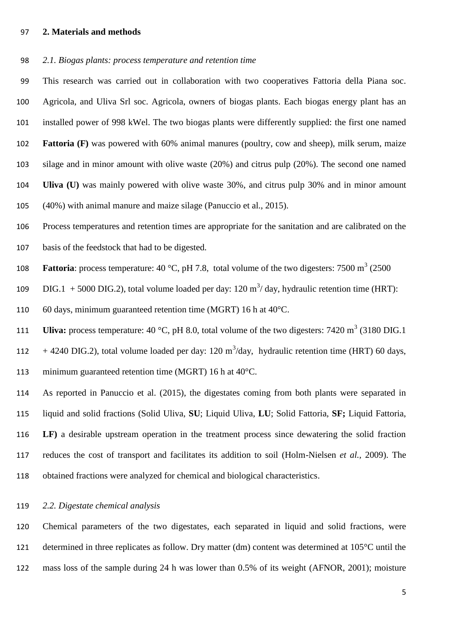## **2. Materials and methods**

*2.1. Biogas plants: process temperature and retention time*

 This research was carried out in collaboration with two cooperatives Fattoria della Piana soc. Agricola, and Uliva Srl soc. Agricola, owners of biogas plants. Each biogas energy plant has an installed power of 998 kWel. The two biogas plants were differently supplied: the first one named **Fattoria (F)** was powered with 60% animal manures (poultry, cow and sheep), milk serum, maize silage and in minor amount with olive waste (20%) and citrus pulp (20%). The second one named **Uliva (U)** was mainly powered with olive waste 30%, and citrus pulp 30% and in minor amount (40%) with animal manure and maize silage (Panuccio et al., 2015).

 Process temperatures and retention times are appropriate for the sanitation and are calibrated on the basis of the feedstock that had to be digested.

108 **Fattoria**: process temperature: 40 °C, pH 7.8, total volume of the two digesters: 7500  $m^3$  (2500

109 DIG.1 + 5000 DIG.2), total volume loaded per day: 120  $\text{m}^3/\text{day}$ , hydraulic retention time (HRT):

60 days, minimum guaranteed retention time (MGRT) 16 h at 40°C.

111 **Uliva:** process temperature:  $40 \text{ °C}$ , pH 8.0, total volume of the two digesters:  $7420 \text{ m}^3$  (3180 DIG.1)

112 + 4240 DIG.2), total volume loaded per day: 120 m<sup>3</sup>/day, hydraulic retention time (HRT) 60 days,

minimum guaranteed retention time (MGRT) 16 h at 40°C.

 As reported in Panuccio et al. (2015), the digestates coming from both plants were separated in liquid and solid fractions (Solid Uliva, **SU**; Liquid Uliva, **LU**; Solid Fattoria, **SF;** Liquid Fattoria, **LF)** a desirable upstream operation in the treatment process since dewatering the solid fraction reduces the cost of transport and facilitates its addition to soil (Holm-Nielsen *et al.,* 2009). The obtained fractions were analyzed for chemical and biological characteristics.

## *2.2. Digestate chemical analysis*

 Chemical parameters of the two digestates, each separated in liquid and solid fractions, were determined in three replicates as follow. Dry matter (dm) content was determined at 105°C until the mass loss of the sample during 24 h was lower than 0.5% of its weight (AFNOR, 2001); moisture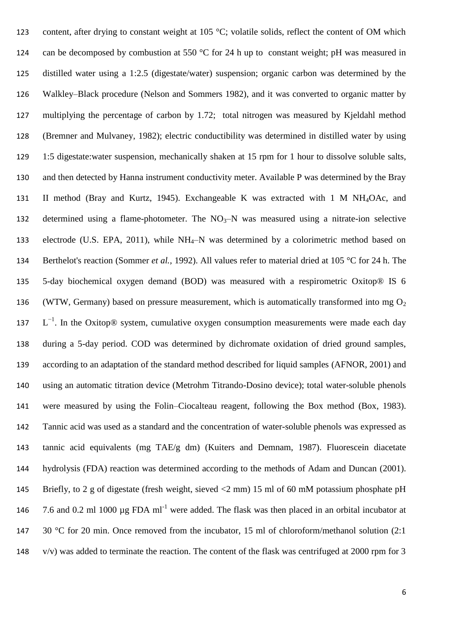123 content, after drying to constant weight at 105 °C; volatile solids, reflect the content of OM which 124 can be decomposed by combustion at 550  $\degree$ C for 24 h up to constant weight; pH was measured in distilled water using a 1:2.5 (digestate/water) suspension; organic carbon was determined by the Walkley–Black procedure (Nelson and Sommers 1982), and it was converted to organic matter by multiplying the percentage of carbon by 1.72; total nitrogen was measured by Kjeldahl method (Bremner and Mulvaney, 1982); electric conductibility was determined in distilled water by using 1:5 digestate:water suspension, mechanically shaken at 15 rpm for 1 hour to dissolve soluble salts, and then detected by Hanna instrument conductivity meter. Available P was determined by the Bray II method (Bray and Kurtz, 1945). Exchangeable K was extracted with 1 M NH4OAc, and 132 determined using a flame-photometer. The  $NO_3-N$  was measured using a nitrate-ion selective 133 electrode [\(U.S. EPA, 2011\)](http://www.sciencedirect.com/science/article/pii/S0167880911000910#bib0165), while NH<sub>4</sub>–N was determined by a colorimetric method based on Berthelot's reaction (Sommer *et al.,* 1992). All values refer to material dried at 105 °C for 24 h. The 5-day biochemical oxygen demand (BOD) was measured with a respirometric Oxitop® IS 6 136 (WTW, Germany) based on pressure measurement, which is automatically transformed into mg  $O_2$  $L^{-1}$ . In the Oxitop® system, cumulative oxygen consumption measurements were made each day during a 5-day period. COD was determined by dichromate oxidation of dried ground samples, according to an adaptation of the standard method described for liquid samples (AFNOR, 2001) and using an automatic titration device (Metrohm Titrando-Dosino device); total water-soluble phenols were measured by using the Folin–Ciocalteau reagent, following the Box method (Box, 1983). Tannic acid was used as a standard and the concentration of water-soluble phenols was expressed as tannic acid equivalents (mg TAE/g dm) (Kuiters and Demnam, 1987). Fluorescein diacetate hydrolysis (FDA) reaction was determined according to the methods of Adam and Duncan (2001). Briefly, to 2 g of digestate (fresh weight, sieved <2 mm) 15 ml of 60 mM potassium phosphate pH 146 7.6 and 0.2 ml 1000  $\mu$ g FDA ml<sup>-1</sup> were added. The flask was then placed in an orbital incubator at 147 30 °C for 20 min. Once removed from the incubator, 15 ml of chloroform/methanol solution (2:1) v/v) was added to terminate the reaction. The content of the flask was centrifuged at 2000 rpm for 3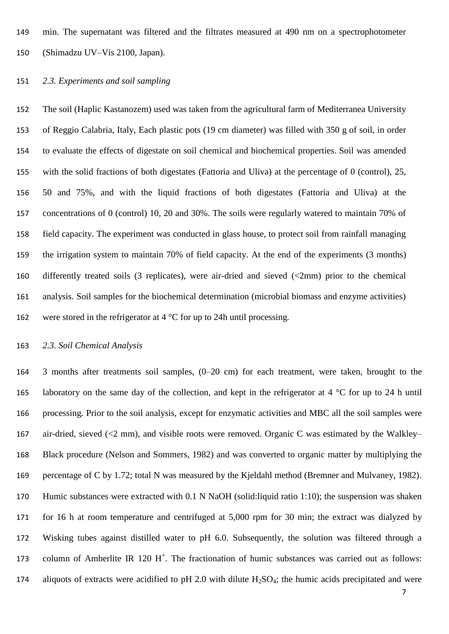min. The supernatant was filtered and the filtrates measured at 490 nm on a spectrophotometer (Shimadzu UV–Vis 2100, Japan).

# *2.3. Experiments and soil sampling*

 The soil (Haplic Kastanozem) used was taken from the agricultural farm of Mediterranea University of Reggio Calabria, Italy, Each plastic pots (19 cm diameter) was filled with 350 g of soil, in order to evaluate the effects of digestate on soil chemical and biochemical properties. Soil was amended with the solid fractions of both digestates (Fattoria and Uliva) at the percentage of 0 (control), 25, 50 and 75%, and with the liquid fractions of both digestates (Fattoria and Uliva) at the concentrations of 0 (control) 10, 20 and 30%. The soils were regularly watered to maintain 70% of field capacity. The experiment was conducted in glass house, to protect soil from rainfall managing the irrigation system to maintain 70% of field capacity. At the end of the experiments (3 months) differently treated soils (3 replicates), were air-dried and sieved (<2mm) prior to the chemical analysis. Soil samples for the biochemical determination (microbial biomass and enzyme activities) were stored in the refrigerator at 4 °C for up to 24h until processing*.*

# *2.3. Soil Chemical Analysis*

 3 months after treatments soil samples, (0–20 cm) for each treatment, were taken, brought to the 165 laboratory on the same day of the collection, and kept in the refrigerator at 4  $\degree$ C for up to 24 h until processing. Prior to the soil analysis, except for enzymatic activities and MBC all the soil samples were air-dried, sieved (<2 mm), and visible roots were removed. Organic C was estimated by the Walkley– Black procedure (Nelson and Sommers, 1982) and was converted to organic matter by multiplying the percentage of C by 1.72; total N was measured by the Kjeldahl method (Bremner and Mulvaney, 1982). Humic substances were extracted with 0.1 N NaOH (solid:liquid ratio 1:10); the suspension was shaken for 16 h at room temperature and centrifuged at 5,000 rpm for 30 min; the extract was dialyzed by Wisking tubes against distilled water to pH 6.0. Subsequently, the solution was filtered through a 173 column of Amberlite IR 120  $H^+$ . The fractionation of humic substances was carried out as follows: 174 aliquots of extracts were acidified to pH 2.0 with dilute  $H_2SO_4$ ; the humic acids precipitated and were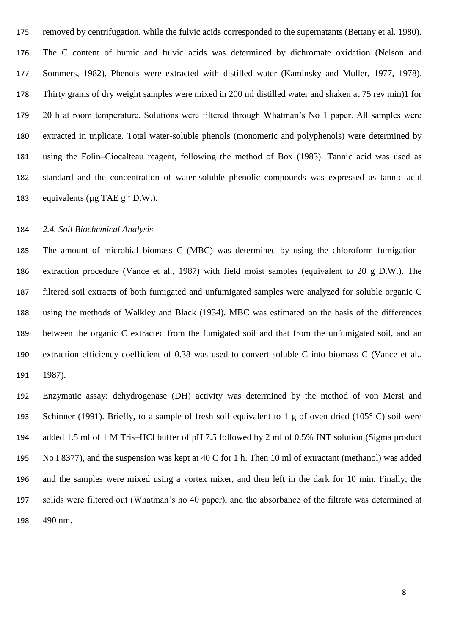removed by centrifugation, while the fulvic acids corresponded to the supernatants (Bettany et al. 1980). The C content of humic and fulvic acids was determined by dichromate oxidation (Nelson and Sommers, 1982). Phenols were extracted with distilled water (Kaminsky and Muller, 1977, 1978). Thirty grams of dry weight samples were mixed in 200 ml distilled water and shaken at 75 rev min)1 for 20 h at room temperature. Solutions were filtered through Whatman's No 1 paper. All samples were extracted in triplicate. Total water-soluble phenols (monomeric and polyphenols) were determined by using the Folin–Ciocalteau reagent, following the method of Box (1983). Tannic acid was used as standard and the concentration of water-soluble phenolic compounds was expressed as tannic acid 183 equivalents ( $\mu$ g TAE g<sup>-1</sup> D.W.).

### *2.4. Soil Biochemical Analysis*

 The amount of microbial biomass C (MBC) was determined by using the chloroform fumigation– extraction procedure (Vance et al., 1987) with field moist samples (equivalent to 20 g D.W.). The filtered soil extracts of both fumigated and unfumigated samples were analyzed for soluble organic C using the methods of Walkley and Black (1934). MBC was estimated on the basis of the differences between the organic C extracted from the fumigated soil and that from the unfumigated soil, and an extraction efficiency coefficient of 0.38 was used to convert soluble C into biomass C (Vance et al., 1987).

 Enzymatic assay: dehydrogenase (DH) activity was determined by the method of von Mersi and Schinner (1991). Briefly, to a sample of fresh soil equivalent to 1 g of oven dried (105° C) soil were added 1.5 ml of 1 M Tris–HCl buffer of pH 7.5 followed by 2 ml of 0.5% INT solution (Sigma product No I 8377), and the suspension was kept at 40 C for 1 h. Then 10 ml of extractant (methanol) was added and the samples were mixed using a vortex mixer, and then left in the dark for 10 min. Finally, the solids were filtered out (Whatman's no 40 paper), and the absorbance of the filtrate was determined at 490 nm.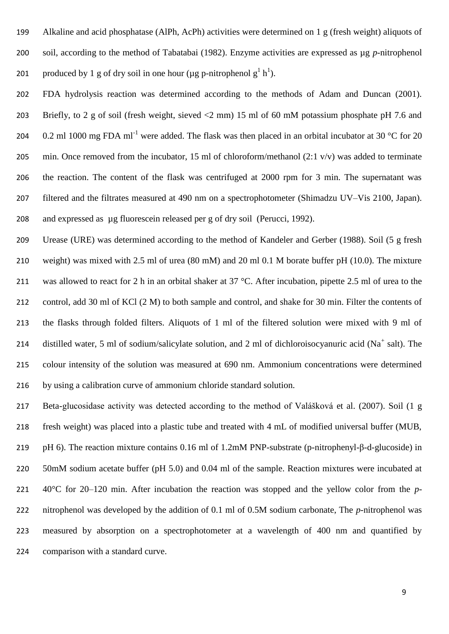Alkaline and acid phosphatase (AlPh, AcPh) activities were determined on 1 g (fresh weight) aliquots of soil, according to the method of Tabatabai (1982). Enzyme activities are expressed as µg *p*-nitrophenol 201 produced by 1 g of dry soil in one hour ( $\mu$ g p-nitrophenol g<sup>1</sup> h<sup>1</sup>).

 FDA hydrolysis reaction was determined according to the methods of Adam and Duncan (2001). Briefly, to 2 g of soil (fresh weight, sieved <2 mm) 15 ml of 60 mM potassium phosphate pH 7.6 and 204 0.2 ml 1000 mg FDA ml<sup>-1</sup> were added. The flask was then placed in an orbital incubator at 30 °C for 20 205 min. Once removed from the incubator, 15 ml of chloroform/methanol (2:1 v/v) was added to terminate the reaction. The content of the flask was centrifuged at 2000 rpm for 3 min. The supernatant was filtered and the filtrates measured at 490 nm on a spectrophotometer (Shimadzu UV–Vis 2100, Japan). and expressed as µg fluorescein released per g of dry soil (Perucci, 1992).

 Urease (URE) was determined according to the method of Kandeler and Gerber (1988). Soil (5 g fresh weight) was mixed with 2.5 ml of urea (80 mM) and 20 ml 0.1 M borate buffer pH (10.0). The mixture 211 was allowed to react for 2 h in an orbital shaker at 37 °C. After incubation, pipette 2.5 ml of urea to the control, add 30 ml of KCl (2 M) to both sample and control, and shake for 30 min. Filter the contents of the flasks through folded filters. Aliquots of 1 ml of the filtered solution were mixed with 9 ml of 214 distilled water, 5 ml of sodium/salicylate solution, and 2 ml of dichloroisocyanuric acid ( $Na<sup>+</sup>$  salt). The colour intensity of the solution was measured at 690 nm. Ammonium concentrations were determined by using a calibration curve of ammonium chloride standard solution.

 Beta-glucosidase activity was detected according to the method of Valášková et al. (2007). Soil (1 g fresh weight) was placed into a plastic tube and treated with 4 mL of modified universal buffer (MUB, pH 6). The reaction mixture contains 0.16 ml of 1.2mM PNP-substrate (p-nitrophenyl-β-d-glucoside) in 50mM sodium acetate buffer (pH 5.0) and 0.04 ml of the sample. Reaction mixtures were incubated at 40°C for 20–120 min. After incubation the reaction was stopped and the yellow color from the *p-* nitrophenol was developed by the addition of 0.1 ml of 0.5M sodium carbonate, The *p*-nitrophenol was measured by absorption on a spectrophotometer at a wavelength of 400 nm and quantified by comparison with a standard curve.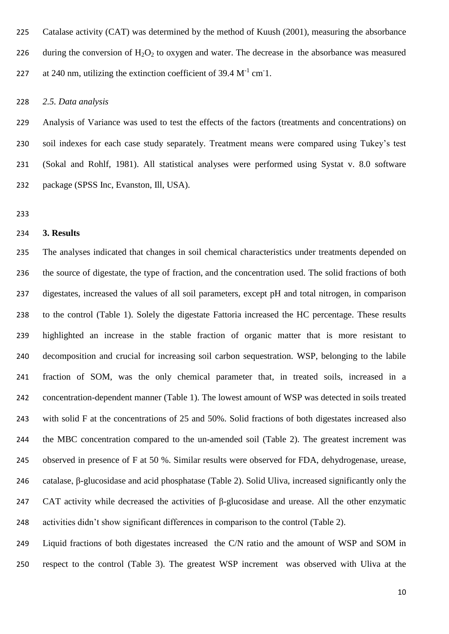Catalase activity (CAT) was determined by the method of Kuush (2001), measuring the absorbance 226 during the conversion of  $H_2O_2$  to oxygen and water. The decrease in the absorbance was measured 227 at 240 nm, utilizing the extinction coefficient of 39.4  $M^{-1}$  cm 1.

*2.5. Data analysis*

 Analysis of Variance was used to test the effects of the factors (treatments and concentrations) on soil indexes for each case study separately. Treatment means were compared using Tukey's test (Sokal and Rohlf, 1981). All statistical analyses were performed using Systat v. 8.0 software package (SPSS Inc, Evanston, Ill, USA).

### **3. Results**

 The analyses indicated that changes in soil chemical characteristics under treatments depended on the source of digestate, the type of fraction, and the concentration used. The solid fractions of both digestates, increased the values of all soil parameters, except pH and total nitrogen, in comparison to the control (Table 1). Solely the digestate Fattoria increased the HC percentage. These results highlighted an increase in the stable fraction of organic matter that is more resistant to decomposition and crucial for increasing soil carbon sequestration. WSP, belonging to the labile fraction of SOM, was the only chemical parameter that, in treated soils, increased in a concentration-dependent manner (Table 1). The lowest amount of WSP was detected in soils treated with solid F at the concentrations of 25 and 50%. Solid fractions of both digestates increased also the MBC concentration compared to the un-amended soil (Table 2). The greatest increment was observed in presence of F at 50 %. Similar results were observed for FDA, dehydrogenase, urease, catalase, β-glucosidase and acid phosphatase (Table 2). Solid Uliva, increased significantly only the CAT activity while decreased the activities of β-glucosidase and urease. All the other enzymatic activities didn't show significant differences in comparison to the control (Table 2).

 Liquid fractions of both digestates increased the C/N ratio and the amount of WSP and SOM in respect to the control (Table 3). The greatest WSP increment was observed with Uliva at the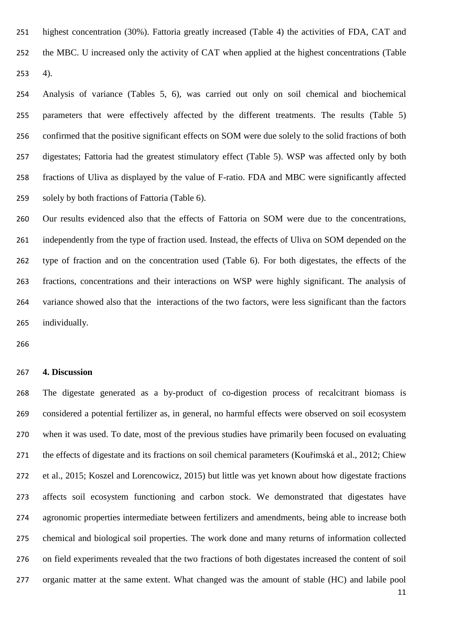highest concentration (30%). Fattoria greatly increased (Table 4) the activities of FDA, CAT and the MBC. U increased only the activity of CAT when applied at the highest concentrations (Table 4).

 Analysis of variance (Tables 5, 6), was carried out only on soil chemical and biochemical parameters that were effectively affected by the different treatments. The results (Table 5) confirmed that the positive significant effects on SOM were due solely to the solid fractions of both digestates; Fattoria had the greatest stimulatory effect (Table 5). WSP was affected only by both fractions of Uliva as displayed by the value of F-ratio. FDA and MBC were significantly affected solely by both fractions of Fattoria (Table 6).

 Our results evidenced also that the effects of Fattoria on SOM were due to the concentrations, independently from the type of fraction used. Instead, the effects of Uliva on SOM depended on the type of fraction and on the concentration used (Table 6). For both digestates, the effects of the fractions, concentrations and their interactions on WSP were highly significant. The analysis of variance showed also that the interactions of the two factors, were less significant than the factors individually.

#### **4. Discussion**

 The digestate generated as a by-product of co-digestion process of recalcitrant biomass is considered a potential fertilizer as, in general, no harmful effects were observed on soil ecosystem when it was used. To date, most of the previous studies have primarily been focused on evaluating the effects of digestate and its fractions on soil chemical parameters (Kouřimská et al., 2012; Chiew et al., 2015; Koszel and Lorencowicz, 2015) but little was yet known about how digestate fractions affects soil ecosystem functioning and carbon stock. We demonstrated that digestates have agronomic properties intermediate between fertilizers and amendments, being able to increase both chemical and biological soil properties. The work done and many returns of information collected on field experiments revealed that the two fractions of both digestates increased the content of soil organic matter at the same extent. What changed was the amount of stable (HC) and labile pool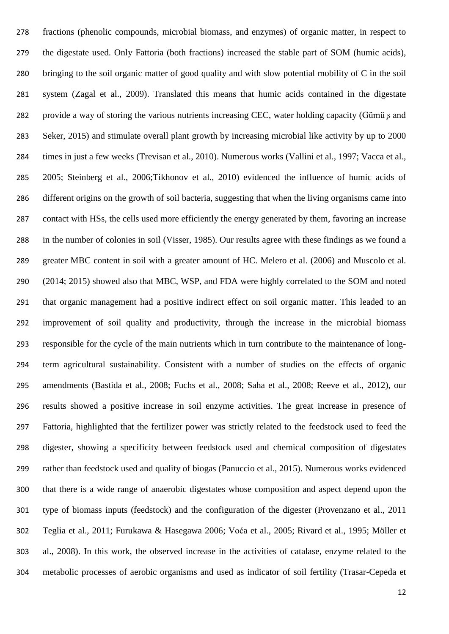fractions (phenolic compounds, microbial biomass, and enzymes) of organic matter, in respect to the digestate used. Only Fattoria (both fractions) increased the stable part of SOM (humic acids), bringing to the soil organic matter of good quality and with slow potential mobility of C in the soil system (Zagal et al., 2009). Translated this means that humic acids contained in the digestate 282 provide a way of storing the various nutrients increasing CEC, water holding capacity (Gümü s and Seker, 2015) and stimulate overall plant growth by increasing microbial like activity by up to 2000 times in just a few weeks (Trevisan et al., 2010). Numerous works (Vallini et al., 1997; Vacca et al., 2005; Steinberg et al., 2006;Tikhonov et al., 2010) evidenced the influence of humic acids of different origins on the growth of soil bacteria, suggesting that when the living organisms came into contact with HSs, the cells used more efficiently the energy generated by them, favoring an increase in the number of colonies in soil (Visser, 1985). Our results agree with these findings as we found a greater MBC content in soil with a greater amount of HC. Melero et al. (2006) and Muscolo et al. (2014; 2015) showed also that MBC, WSP, and FDA were highly correlated to the SOM and noted that organic management had a positive indirect effect on soil organic matter. This leaded to an improvement of soil quality and productivity, through the increase in the microbial biomass responsible for the cycle of the main nutrients which in turn contribute to the maintenance of long- term agricultural sustainability. Consistent with a number of studies on the effects of organic amendments (Bastida et al., 2008; Fuchs et al., 2008; Saha et al., 2008; Reeve et al., 2012), our results showed a positive increase in soil enzyme activities. The great increase in presence of Fattoria, highlighted that the fertilizer power was strictly related to the feedstock used to feed the digester, showing a specificity between feedstock used and chemical composition of digestates rather than feedstock used and quality of biogas (Panuccio et al., 2015). Numerous works evidenced that there is a wide range of anaerobic digestates whose composition and aspect depend upon the type of biomass inputs (feedstock) and the configuration of the digester (Provenzano et al., 2011 Teglia et al., 2011; Furukawa & Hasegawa 2006; Voća et al., 2005; Rivard et al., 1995; Möller et al., 2008). In this work, the observed increase in the activities of catalase, enzyme related to the metabolic processes of aerobic organisms and used as indicator of soil fertility (Trasar-Cepeda et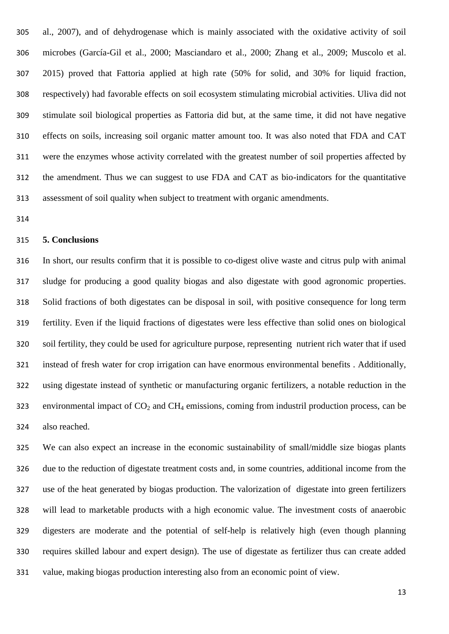al., 2007), and of dehydrogenase which is mainly associated with the oxidative activity of soil microbes (García-Gil et al., 2000; Masciandaro et al., 2000; Zhang et al., 2009; Muscolo et al. 2015) proved that Fattoria applied at high rate (50% for solid, and 30% for liquid fraction, respectively) had favorable effects on soil ecosystem stimulating microbial activities. Uliva did not stimulate soil biological properties as Fattoria did but, at the same time, it did not have negative effects on soils, increasing soil organic matter amount too. It was also noted that FDA and CAT were the enzymes whose activity correlated with the greatest number of soil properties affected by the amendment. Thus we can suggest to use FDA and CAT as bio-indicators for the quantitative assessment of soil quality when subject to treatment with organic amendments.

#### **5. Conclusions**

 In short, our results confirm that it is possible to co-digest olive waste and citrus pulp with animal sludge for producing a good quality biogas and also digestate with good agronomic properties. Solid fractions of both digestates can be disposal in soil, with positive consequence for long term fertility. Even if the liquid fractions of digestates were less effective than solid ones on biological soil fertility, they could be used for agriculture purpose, representing nutrient rich water that if used instead of fresh water for crop irrigation can have enormous environmental benefits . Additionally, using digestate instead of synthetic or manufacturing organic fertilizers, a notable reduction in the 323 environmental impact of  $CO_2$  and  $CH_4$  emissions, coming from industril production process, can be also reached.

 We can also expect an increase in the economic sustainability of small/middle size biogas plants due to the reduction of digestate treatment costs and, in some countries, additional income from the use of the heat generated by biogas production. The valorization of digestate into green fertilizers will lead to marketable products with a high economic value. The investment costs of anaerobic digesters are moderate and the potential of self-help is relatively high (even though planning requires skilled labour and expert design). The use of digestate as fertilizer thus can create added value, making biogas production interesting also from an economic point of view.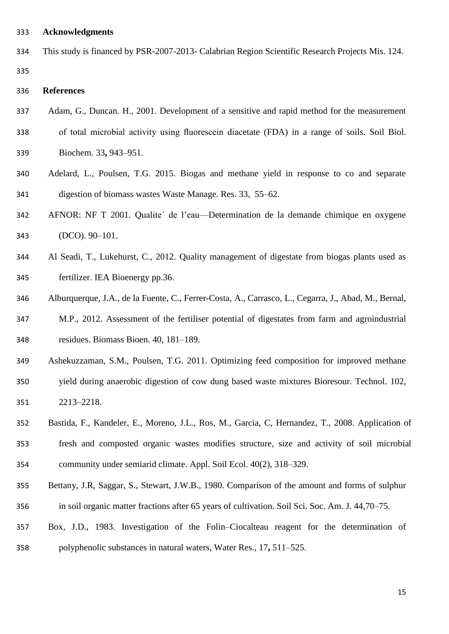### **Acknowledgments**

| 334 | This study is financed by PSR-2007-2013- Calabrian Region Scientific Research Projects Mis. 124. |  |
|-----|--------------------------------------------------------------------------------------------------|--|
| 335 |                                                                                                  |  |

# **References**

- Adam, G., Duncan. H., 2001. Development of a sensitive and rapid method for the measurement of total microbial activity using fluorescein diacetate (FDA) in a range of soils. Soil Biol.
- Biochem. 33**,** 943–951.
- Adelard, L., Poulsen, T.G. 2015. Biogas and methane yield in response to co and separate digestion of biomass wastes Waste Manage. Res. 33, 55–62.
- AFNOR: NF T 2001. Qualite´ de l'eau—Determination de la demande chimique en oxygene (DCO). 90–101.
- Al Seadi, T., Lukehurst, C., 2012. Quality management of digestate from biogas plants used as fertilizer. IEA Bioenergy pp.36.
- Alburquerque, J.A., de la Fuente, C., Ferrer-Costa, A., Carrasco, L., Cegarra, J., Abad, M., Bernal,
- M.P., 2012. Assessment of the fertiliser potential of digestates from farm and agroindustrial residues. Biomass Bioen. 40, 181–189.
- Ashekuzzaman, S.M., Poulsen, T.G. 2011. Optimizing feed composition for improved methane yield during anaerobic digestion of cow dung based waste mixtures Bioresour. Technol. 102, 2213–2218.
- Bastida, F., Kandeler, E., Moreno, J.L., Ros, M., Garcia, C, Hernandez, T., 2008. Application of fresh and composted organic wastes modifies structure, size and activity of soil microbial community under semiarid climate. Appl. Soil Ecol. 40(2), 318–329.
- Bettany, J.R, Saggar, S., Stewart, J.W.B., 1980. Comparison of the amount and forms of sulphur in soil organic matter fractions after 65 years of cultivation. Soil Sci. Soc. Am. J. 44,70–75.
- Box, J.D., 1983. Investigation of the Folin–Ciocalteau reagent for the determination of polyphenolic substances in natural waters, Water Res., 17**,** 511–525.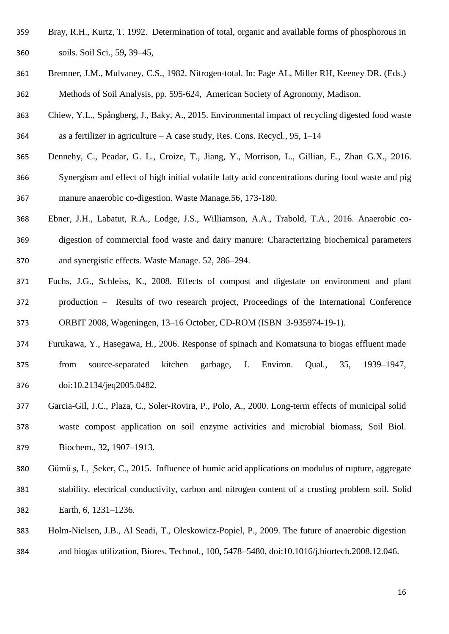- Bray, R.H., Kurtz, T. 1992. Determination of total, organic and available forms of phosphorous in soils. Soil Sci., 59**,** 39–45,
- Bremner, J.M., Mulvaney, C.S., 1982. Nitrogen-total. In: Page AL, Miller RH, Keeney DR. (Eds.) Methods of Soil Analysis, pp. 595-624, American Society of Agronomy, Madison.
- Chiew, Y.L., Spångberg, J., Baky, A., 2015. Environmental impact of recycling digested food waste as a fertilizer in agriculture – A case study, Res. Cons. Recycl., 95, 1–14
- Dennehy, C., Peadar, G. L., Croize, T., Jiang, Y., Morrison, L., Gillian, E., Zhan G.X., 2016. Synergism and effect of high initial volatile fatty acid concentrations during food waste and pig manure anaerobic co-digestion. Waste Manage.56, 173-180.
- Ebner, J.H., Labatut, R.A., Lodge, J.S., Williamson, A.A., Trabold, T.A., 2016. Anaerobic co- digestion of commercial food waste and dairy manure: Characterizing biochemical parameters and synergistic effects. Waste Manage. 52, 286–294.
- Fuchs, J.G., Schleiss, K., 2008. Effects of compost and digestate on environment and plant production – Results of two research project, Proceedings of the International Conference ORBIT 2008, Wageningen, 13–16 October, CD-ROM (ISBN 3-935974-19-1).
- Furukawa, Y., Hasegawa, H., 2006. Response of spinach and Komatsuna to biogas effluent made from source-separated kitchen garbage, J. Environ. Qual*.*, 35, 1939–1947, doi:10.2134/jeq2005.0482.
- Garcia-Gil, J.C., Plaza, C., Soler-Rovira, P., Polo, A., 2000. Long-term effects of municipal solid waste compost application on soil enzyme activities and microbial biomass, Soil Biol. Biochem., 32**,** 1907–1913.
- Gümü ̧s, I., ̧Seker, C., 2015. Influence of humic acid applications on modulus of rupture, aggregate stability, electrical conductivity, carbon and nitrogen content of a crusting problem soil. Solid Earth, 6, 1231–1236.
- Holm-Nielsen, J.B., Al Seadi, T., Oleskowicz-Popiel, P., 2009. The future of anaerobic digestion and biogas utilization, Biores. Technol*.,* 100**,** 5478–5480, doi:10.1016/j.biortech.2008.12.046.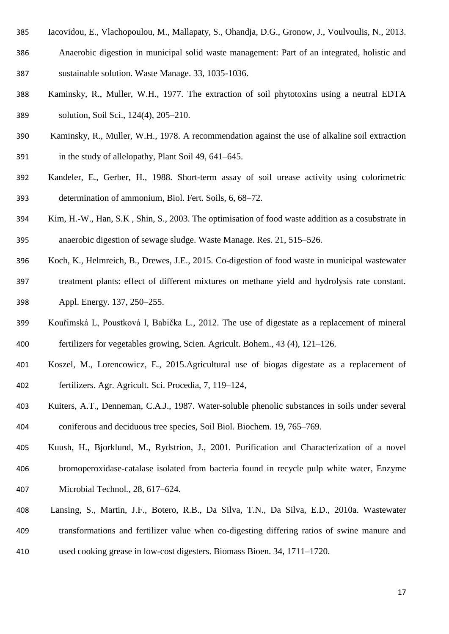- Iacovidou, E., Vlachopoulou, M., Mallapaty, S., Ohandja, D.G., Gronow, J., Voulvoulis, N., 2013. Anaerobic digestion in municipal solid waste management: Part of an integrated, holistic and sustainable solution. Waste Manage. 33, 1035-1036.
- Kaminsky, R., Muller, W.H., 1977. The extraction of soil phytotoxins using a neutral EDTA solution, Soil Sci., 124(4), 205–210.
- Kaminsky, R., Muller, W.H., 1978. A recommendation against the use of alkaline soil extraction in the study of allelopathy, Plant Soil 49, 641–645.
- Kandeler, E., Gerber, H., 1988. Short-term assay of soil urease activity using colorimetric determination of ammonium, Biol. Fert. Soils, 6, 68–72.
- Kim, H.-W., Han, S.K , Shin, S., 2003. The optimisation of food waste addition as a cosubstrate in anaerobic digestion of sewage sludge. Waste Manage. Res. 21, 515–526.
- Koch, K., Helmreich, B., Drewes, J.E., 2015. Co-digestion of food waste in municipal wastewater treatment plants: effect of different mixtures on methane yield and hydrolysis rate constant. Appl. Energy. 137, 250–255.
- Kouřimská L, Poustková I, Babička L., 2012. The use of digestate as a replacement of mineral fertilizers for vegetables growing, Scien. Agricult. Bohem., 43 (4), 121–126.
- Koszel, M., Lorencowicz, E., 2015.Agricultural use of biogas digestate as a replacement of fertilizers. Agr. Agricult. Sci. Procedia, 7, 119–124,
- Kuiters, A.T., Denneman, C.A.J., 1987. Water-soluble phenolic substances in soils under several coniferous and deciduous tree species, Soil Biol. Biochem*.* 19, 765–769.
- Kuush, H., Bjorklund, M., Rydstrion, J., 2001. Purification and Characterization of a novel bromoperoxidase-catalase isolated from bacteria found in recycle pulp white water, Enzyme Microbial Technol*.,* 28, 617–624.
- Lansing, S., Martin, J.F., Botero, R.B., Da Silva, T.N., Da Silva, E.D., 2010a. Wastewater transformations and fertilizer value when co-digesting differing ratios of swine manure and used cooking grease in low-cost digesters. Biomass Bioen. 34, 1711–1720.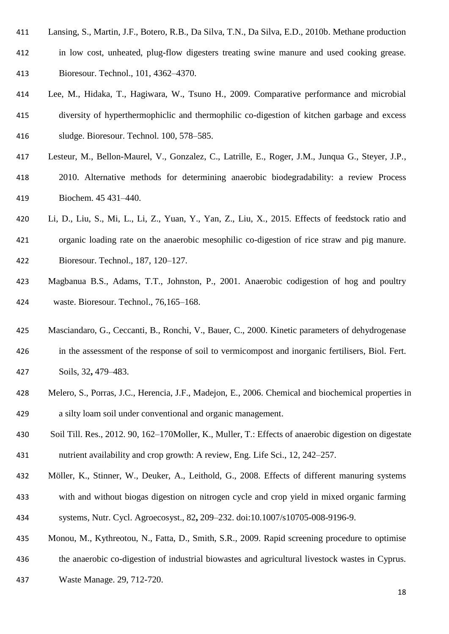- Lansing, S., Martin, J.F., Botero, R.B., Da Silva, T.N., Da Silva, E.D., 2010b. Methane production
- in low cost, unheated, plug-flow digesters treating swine manure and used cooking grease. Bioresour. Technol., 101, 4362–4370.
- Lee, M., Hidaka, T., Hagiwara, W., Tsuno H., 2009. Comparative performance and microbial diversity of hyperthermophiclic and thermophilic co-digestion of kitchen garbage and excess sludge. Bioresour. Technol. 100, 578–585.
- Lesteur, M., Bellon-Maurel, V., Gonzalez, C., Latrille, E., Roger, J.M., Junqua G., Steyer, J.P., 2010. Alternative methods for determining anaerobic biodegradability: a review Process Biochem. 45 431–440.
- Li, D., Liu, S., Mi, L., Li, Z., Yuan, Y., Yan, Z., Liu, X., 2015. Effects of feedstock ratio and organic loading rate on the anaerobic mesophilic co-digestion of rice straw and pig manure. Bioresour. Technol., 187, 120–127.
- Magbanua B.S., Adams, T.T., Johnston, P., 2001. Anaerobic codigestion of hog and poultry waste. Bioresour. Technol., 76,165–168.
- Masciandaro, G., Ceccanti, B., Ronchi, V., Bauer, C., 2000. Kinetic parameters of dehydrogenase in the assessment of the response of soil to vermicompost and inorganic fertilisers, Biol. Fert. Soils, 32**,** 479–483.
- Melero, S., Porras, J.C., Herencia, J.F., Madejon, E., 2006. Chemical and biochemical properties in a silty loam soil under conventional and organic management.
- Soil Till. Res., 2012. 90, 162–170Moller, K., Muller, T.: Effects of anaerobic digestion on digestate nutrient availability and crop growth: A review, Eng. Life Sci., 12, 242–257.
- Möller, K., Stinner, W., Deuker, A., Leithold, G., 2008. Effects of different manuring systems
- with and without biogas digestion on nitrogen cycle and crop yield in mixed organic farming
- systems, Nutr. Cycl. Agroecosyst., 82**,** 209–232. doi:10.1007/s10705-008-9196-9.
- Monou, M., Kythreotou, N., Fatta, D., Smith, S.R., 2009. Rapid screening procedure to optimise
- the anaerobic co-digestion of industrial biowastes and agricultural livestock wastes in Cyprus.
- Waste Manage. 29, 712-720.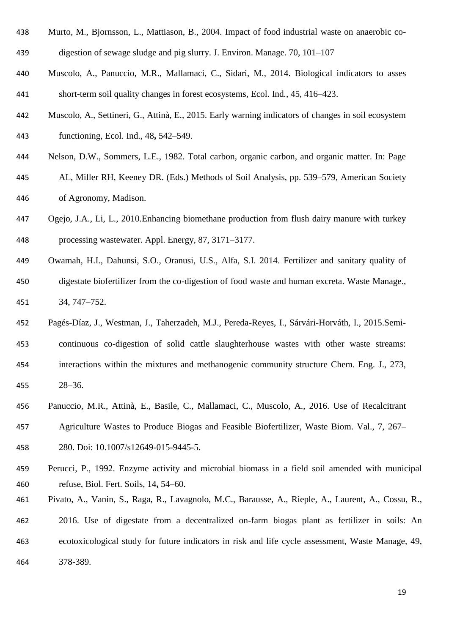- Murto, M., Bjornsson, L., Mattiason, B., 2004. Impact of food industrial waste on anaerobic co-
- digestion of sewage sludge and pig slurry. J. Environ. Manage. 70, 101–107
- Muscolo, A., Panuccio, M.R., Mallamaci, C., Sidari, M., 2014. Biological indicators to asses short-term soil quality changes in forest ecosystems, Ecol. Ind*.,* 45, 416–423.
- Muscolo, A., Settineri, G., Attinà, E., 2015. Early warning indicators of changes in soil ecosystem functioning, Ecol. Ind., 48**,** 542–549.
- Nelson, D.W., Sommers, L.E., 1982. Total carbon, organic carbon, and organic matter. In: Page AL, Miller RH, Keeney DR. (Eds.) Methods of Soil Analysis, pp. 539–579, American Society of Agronomy, Madison.
- Ogejo, J.A., Li, L., 2010.Enhancing biomethane production from flush dairy manure with turkey processing wastewater. Appl. Energy, 87, 3171–3177.
- Owamah, H.I., Dahunsi, S.O., Oranusi, U.S., Alfa, S.I. 2014. Fertilizer and sanitary quality of digestate biofertilizer from the co-digestion of food waste and human excreta. Waste Manage., 34, 747–752.
- Pagés-Díaz, J., Westman, J., Taherzadeh, M.J., Pereda-Reyes, I., Sárvári-Horváth, I., 2015.Semi- continuous co-digestion of solid cattle slaughterhouse wastes with other waste streams: interactions within the mixtures and methanogenic community structure Chem. Eng. J., 273, 28–36.
- Panuccio, M.R., Attinà, E., Basile, C., Mallamaci, C., Muscolo, A., 2016. Use of Recalcitrant Agriculture Wastes to Produce Biogas and Feasible Biofertilizer, Waste Biom. Val., 7, 267– 280. Doi: 10.1007/s12649-015-9445-5*.*
- Perucci, P., 1992. Enzyme activity and microbial biomass in a field soil amended with municipal refuse, Biol. Fert. Soils, 14**,** 54–60.
- Pivato, A., Vanin, S., Raga, R., Lavagnolo, M.C., Barausse, A., Rieple, A., Laurent, A., Cossu, R.,
- 2016. Use of digestate from a decentralized on-farm biogas plant as fertilizer in soils: An ecotoxicological study for future indicators in risk and life cycle assessment, Waste Manage, 49, 378-389.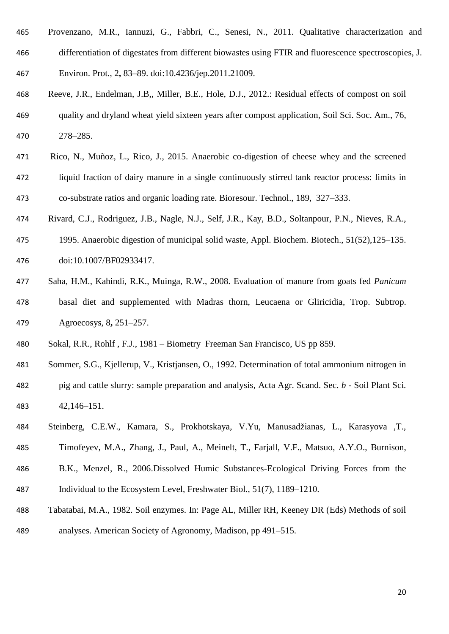- Provenzano, M.R., Iannuzi, G., Fabbri, C., Senesi, N., 2011. Qualitative characterization and differentiation of digestates from different biowastes using FTIR and fluorescence spectroscopies, J. Environ. Prot., 2**,** 83–89. doi:10.4236/jep.2011.21009.
- Reeve, J.R., Endelman, J.B,, Miller, B.E., Hole, D.J., 2012.: Residual effects of compost on soil quality and dryland wheat yield sixteen years after compost application, Soil Sci. Soc. Am., 76, 278–285.
- Rico, N., Muñoz, L., Rico, J., 2015. Anaerobic co-digestion of cheese whey and the screened liquid fraction of dairy manure in a single continuously stirred tank reactor process: limits in co-substrate ratios and organic loading rate. Bioresour. Technol., 189, 327–333.
- Rivard, C.J., Rodriguez, J.B., Nagle, N.J., Self, J.R., Kay, B.D., Soltanpour, P.N., Nieves, R.A.,
- 1995. Anaerobic digestion of municipal solid waste, Appl. Biochem. Biotech., 51(52),125–135. doi:10.1007/BF02933417.
- Saha, H.M., Kahindi, R.K., Muinga, R.W., 2008. Evaluation of manure from goats fed *Panicum* basal diet and supplemented with Madras thorn, Leucaena or Gliricidia, Trop. Subtrop. Agroecosys, 8**,** 251–257.
- Sokal, R.R., Rohlf , F.J., 1981 Biometry Freeman San Francisco, US pp 859.
- Sommer, S.G., Kjellerup, V., Kristjansen, O., 1992. Determination of total ammonium nitrogen in
- pig and cattle slurry: sample preparation and analysis, Acta Agr. Scand. Sec. *b -* Soil Plant Sci*.*  42,146–151.
- Steinberg, C.E.W., Kamara, S., Prokhotskaya, V.Yu, Manusadžianas, L., Karasyova ,T., Timofeyev, M.A., Zhang, J., Paul, A., Meinelt, T., Farjall, V.F., Matsuo, A.Y.O., Burnison,
- B.K., Menzel, R., 2006.Dissolved Humic Substances-Ecological Driving Forces from the Individual to the Ecosystem Level, Freshwater Biol*.*, 51(7), 1189–1210.
- Tabatabai, M.A., 1982. Soil enzymes. In: Page AL, Miller RH, Keeney DR (Eds) Methods of soil
- analyses. American Society of Agronomy, Madison, pp 491–515.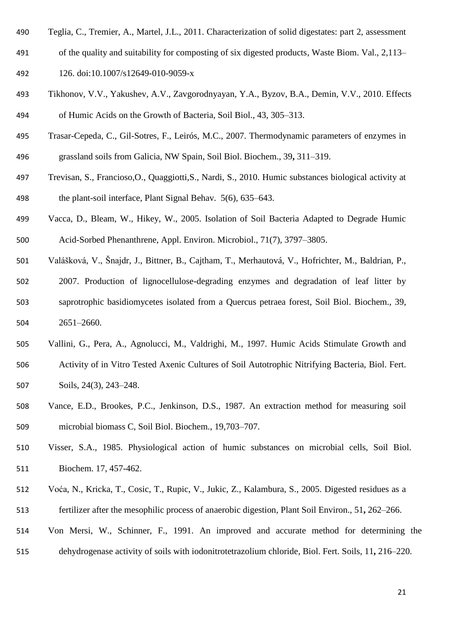- Teglia, C., Tremier, A., Martel, J.L., 2011. Characterization of solid digestates: part 2, assessment
- of the quality and suitability for composting of six digested products, Waste Biom. Val., 2,113– 126. doi:10.1007/s12649-010-9059-x
- Tikhonov, V.V., Yakushev, A.V., Zavgorodnyayan, Y.A., Byzov, B.A., Demin, V.V., 2010. Effects of Humic Acids on the Growth of Bacteria, Soil Biol., 43, 305–313.
- Trasar-Cepeda, C., Gil-Sotres, F., Leirós, M.C., 2007. Thermodynamic parameters of enzymes in grassland soils from Galicia, NW Spain, Soil Biol. Biochem., 39**,** 311–319.
- Trevisan, S., Francioso,O., Quaggiotti,S., Nardi, S., 2010. Humic substances biological activity at the plant-soil interface, Plant Signal Behav. 5(6), 635–643.
- Vacca, D., Bleam, W., Hikey, W., 2005. Isolation of Soil Bacteria Adapted to Degrade Humic Acid-Sorbed Phenanthrene, Appl. Environ. Microbiol., 71(7), 3797–3805.
- Valášková, V., Šnajdr, J., Bittner, B., Cajtham, T., Merhautová, V., Hofrichter, M., Baldrian, P., 2007. Production of lignocellulose-degrading enzymes and degradation of leaf litter by saprotrophic basidiomycetes isolated from a Quercus petraea forest, Soil Biol. Biochem., 39, 2651–2660.
- Vallini, G., Pera, A., Agnolucci, M., Valdrighi, M., 1997. Humic Acids Stimulate Growth and Activity of in Vitro Tested Axenic Cultures of Soil Autotrophic Nitrifying Bacteria, Biol. Fert. Soils, 24(3), 243–248.
- Vance, E.D., Brookes, P.C., Jenkinson, D.S., 1987. An extraction method for measuring soil microbial biomass C, Soil Biol. Biochem., 19,703–707.
- Visser, S.A., 1985. Physiological action of humic substances on microbial cells, Soil Biol. Biochem. 17, 457-462.
- Voća, N., Kricka, T., Cosic, T., Rupic, V., Jukic, Z., Kalambura, S., 2005. Digested residues as a fertilizer after the mesophilic process of anaerobic digestion, Plant Soil Environ., 51**,** 262–266.
- Von Mersi, W., Schinner, F., 1991. An improved and accurate method for determining the dehydrogenase activity of soils with iodonitrotetrazolium chloride, Biol. Fert. Soils, 11**,** 216–220.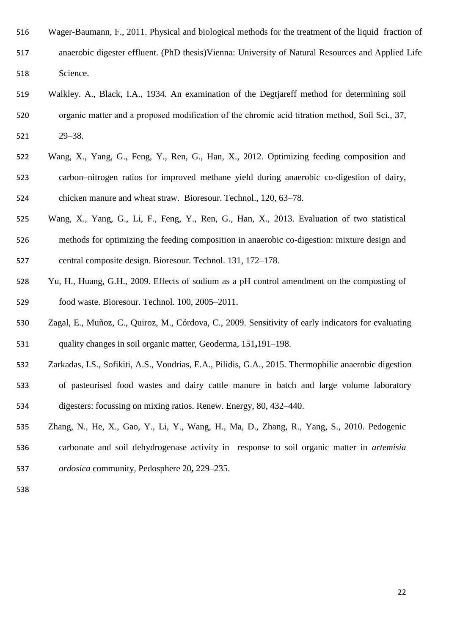| 516 | Wager-Baumann, F., 2011. Physical and biological methods for the treatment of the liquid fraction of |
|-----|------------------------------------------------------------------------------------------------------|
| 517 | anaerobic digester effluent. (PhD thesis) Vienna: University of Natural Resources and Applied Life   |
| 518 | Science.                                                                                             |
| 519 | Walkley. A., Black, I.A., 1934. An examination of the Degtjareff method for determining soil         |
| 520 | organic matter and a proposed modification of the chromic acid titration method, Soil Sci., 37,      |

- 29–38.
- Wang, X., Yang, G., Feng, Y., Ren, G., Han, X., 2012. Optimizing feeding composition and carbon–nitrogen ratios for improved methane yield during anaerobic co-digestion of dairy, chicken manure and wheat straw. Bioresour. Technol., 120, 63–78.
- Wang, X., Yang, G., Li, F., Feng, Y., Ren, G., Han, X., 2013. Evaluation of two statistical methods for optimizing the feeding composition in anaerobic co-digestion: mixture design and central composite design. Bioresour. Technol. 131, 172–178.
- Yu, H., Huang, G.H., 2009. Effects of sodium as a pH control amendment on the composting of food waste. Bioresour. Technol. 100, 2005–2011.
- Zagal, E., Muñoz, C., Quiroz, M., Córdova, C., 2009. Sensitivity of early indicators for evaluating quality changes in soil organic matter, Geoderma, 151**,**191–198.
- Zarkadas, I.S., Sofikiti, A.S., Voudrias, E.A., Pilidis, G.A., 2015. Thermophilic anaerobic digestion
- of pasteurised food wastes and dairy cattle manure in batch and large volume laboratory digesters: focussing on mixing ratios. Renew. Energy, 80, 432–440.
- Zhang, N., He, X., Gao, Y., Li, Y., Wang, H., Ma, D., Zhang, R., Yang, S., 2010. Pedogenic carbonate and soil dehydrogenase activity in response to soil organic matter in *artemisia ordosica* community, Pedosphere 20**,** 229–235.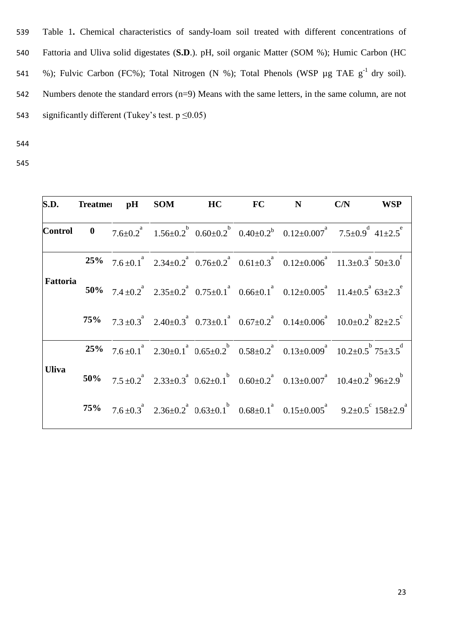539 Table 1**.** Chemical characteristics of sandy-loam soil treated with different concentrations of 540 Fattoria and Uliva solid digestates (**S.D**.). pH, soil organic Matter (SOM %); Humic Carbon (HC 541 %); Fulvic Carbon (FC%); Total Nitrogen (N %); Total Phenols (WSP  $\mu$ g TAE g<sup>-1</sup> dry soil). 542 Numbers denote the standard errors (n=9) Means with the same letters, in the same column, are not 543 significantly different (Tukey's test.  $p \le 0.05$ )

- 544
- 545

|              |  |  |  | S.D. Treatme: pH SOM HC FC N C/N WSP                                                                                             |
|--------------|--|--|--|----------------------------------------------------------------------------------------------------------------------------------|
|              |  |  |  | <b>Control</b> 0 $7.6\pm0.2^a$ $1.56\pm0.2^b$ $0.60\pm0.2^b$ $0.40\pm0.2^b$ $0.12\pm0.007^a$ $7.5\pm0.9^d$ $41\pm2.5^e$          |
|              |  |  |  | <b>25%</b> $7.6 \pm 0.1^a$ $2.34 \pm 0.2^a$ $0.76 \pm 0.2^a$ $0.61 \pm 0.3^a$ $0.12 \pm 0.006^a$ $11.3 \pm 0.3^a$ $50 \pm 3.0^f$ |
| Fattoria     |  |  |  | 50% $7.4 \pm 0.2^a$ $2.35 \pm 0.2^a$ $0.75 \pm 0.1^a$ $0.66 \pm 0.1^a$ $0.12 \pm 0.005^a$ $11.4 \pm 0.5^a$ $63 \pm 2.3^c$        |
|              |  |  |  | 75% $7.3\pm0.3^a$ $2.40\pm0.3^a$ $0.73\pm0.1^a$ $0.67\pm0.2^a$ $0.14\pm0.006^a$ $10.0\pm0.2^b$ $82\pm2.5^c$                      |
|              |  |  |  | 25% $7.6\pm0.1^a$ 2.30 $\pm0.1^a$ 0.65 $\pm0.2^b$ 0.58 $\pm0.2^a$ 0.13 $\pm0.009^a$ 10.2 $\pm0.5^b$ 75 $\pm3.5^d$                |
| <b>Uliva</b> |  |  |  | 50% $7.5\pm0.2^a$ $2.33\pm0.3^a$ $0.62\pm0.1^b$ $0.60\pm0.2^a$ $0.13\pm0.007^a$ $10.4\pm0.2^b$ $96\pm2.9^b$                      |
|              |  |  |  | 75% $7.6\pm0.3^a$ $2.36\pm0.2^a$ $0.63\pm0.1^b$ $0.68\pm0.1^a$ $0.15\pm0.005^a$ $9.2\pm0.5^c$ $158\pm2.9^a$                      |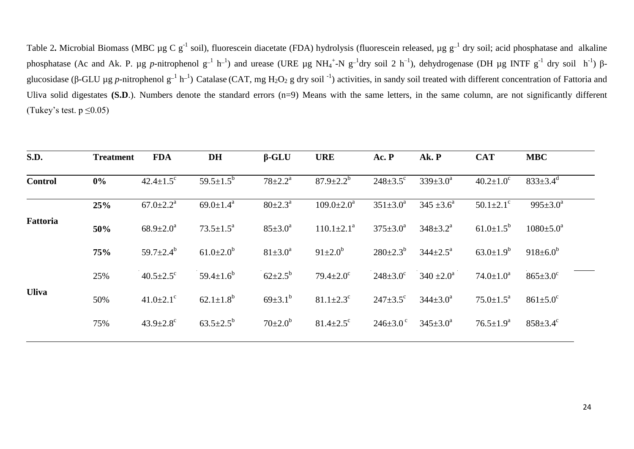Table 2. Microbial Biomass (MBC  $\mu$ g C g<sup>-1</sup> soil), fluorescein diacetate (FDA) hydrolysis (fluorescein released,  $\mu$ g g<sup>-1</sup> dry soil; acid phosphatase and alkaline phosphatase (Ac and Ak. P. μg *p*-nitrophenol g<sup>-1</sup> h<sup>-1</sup>) and urease (URE μg NH<sub>4</sub><sup>+</sup>-N g<sup>-1</sup>dry soil 2 h<sup>-1</sup>), dehydrogenase (DH μg INTF g<sup>-1</sup> dry soil h<sup>-1</sup>) βglucosidase (β-GLU µg *p*-nitrophenol  $g^{-1} h^{-1}$ ) Catalase (CAT, mg H<sub>2</sub>O<sub>2</sub> g dry soil <sup>-1</sup>) activities, in sandy soil treated with different concentration of Fattoria and Uliva solid digestates **(S.D**.). Numbers denote the standard errors (n=9) Means with the same letters, in the same column, are not significantly different (Tukey's test.  $p \le 0.05$ )

| S.D.           | <b>Treatment</b> | <b>FDA</b>                  | <b>DH</b>                   | $\beta$ -GLU            | <b>URE</b>                  | Ac. P                 | Ak. P                    | <b>CAT</b>                  | <b>MBC</b>             |
|----------------|------------------|-----------------------------|-----------------------------|-------------------------|-----------------------------|-----------------------|--------------------------|-----------------------------|------------------------|
| <b>Control</b> | $0\%$            | $42.4 \pm 1.5$ <sup>c</sup> | $59.5 \pm 1.5^b$            | $78 \pm 2.2^{\text{a}}$ | $87.9 \pm 2.2^b$            | $248 \pm 3.5^{\circ}$ | $339 \pm 3.0^a$          | $40.2 \pm 1.0^{\circ}$      | $833 \pm 3.4^d$        |
|                | 25%              | $67.0 \pm 2.2^{\text{a}}$   | 69.0 $\pm$ 1.4 <sup>a</sup> | $80 \pm 2.3^{\circ}$    | $109.0 \pm 2.0^a$           | $351 \pm 3.0^{\circ}$ | $345 \pm 3.6^{\circ}$    | $50.1 \pm 2.1$ <sup>c</sup> | $995 \pm 3.0^a$        |
| Fattoria       | 50%              | $68.9 \pm 2.0^a$            | $73.5 \pm 1.5^a$            | $85 \pm 3.0^{\circ}$    | $110.1 \pm 2.1^a$           | $375 \pm 3.0^{\circ}$ | $348 \pm 3.2^a$          | $61.0 \pm 1.5^{\circ}$      | $1080 \pm 5.0^{\circ}$ |
|                | 75%              | 59.7 $\pm$ 2.4 <sup>b</sup> | $61.0 \pm 2.0^b$            | $81 \pm 3.0^a$          | $91 \pm 2.0^b$              | $280 \pm 2.3^b$       | $344 \pm 2.5^{\text{a}}$ | $63.0 \pm 1.9^b$            | $918 \pm 6.0^b$        |
|                | 25%              | $40.5 \pm 2.5$ °            | $59.4 \pm 1.6^b$            | $62{\pm}2.5^{\rm b}$    | $79.4 \pm 2.0^{\circ}$      | $248 \pm 3.0^{\circ}$ | $340 \pm 2.0^{\circ}$    | $74.0 \pm 1.0^a$            | $865 \pm 3.0^{\circ}$  |
| <b>Uliva</b>   | 50%              | $41.0 \pm 2.1$ <sup>c</sup> | $62.1 \pm 1.8^b$            | $69{\pm}3.1^{b}$        | $81.1 \pm 2.3$ <sup>c</sup> | $247 \pm 3.5$ °       | $344 \pm 3.0^a$          | $75.0 \pm 1.5^{\text{a}}$   | $861 \pm 5.0^{\circ}$  |
|                | 75%              | $43.9 \pm 2.8$ <sup>c</sup> | $63.5 \pm 2.5^{\rm b}$      | $70 \pm 2.0^{\rm b}$    | $81.4 \pm 2.5$ <sup>c</sup> | $246 \pm 3.0^{\circ}$ | $345 \pm 3.0^a$          | $76.5 \pm 1.9^{\text{a}}$   | $858 \pm 3.4^{\circ}$  |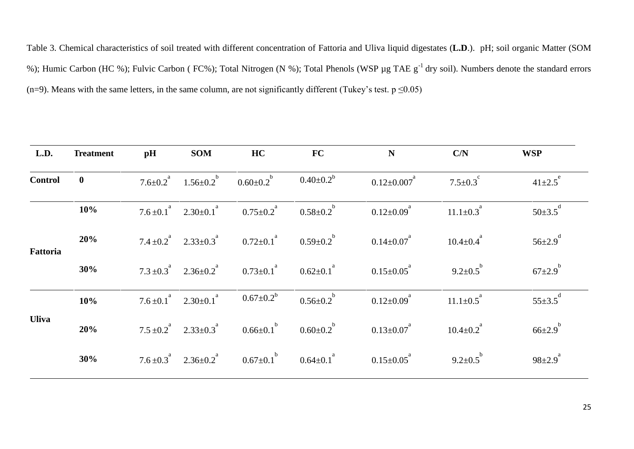Table 3. Chemical characteristics of soil treated with different concentration of Fattoria and Uliva liquid digestates (**L.D**.). pH; soil organic Matter (SOM %); Humic Carbon (HC %); Fulvic Carbon ( FC%); Total Nitrogen (N %); Total Phenols (WSP µg TAE g<sup>-1</sup> dry soil). Numbers denote the standard errors (n=9). Means with the same letters, in the same column, are not significantly different (Tukey's test.  $p \le 0.05$ )

| L.D.           | <b>Treatment</b> | pH | <b>SOM</b>                                                                         | HC                                                                                             | FC                          | N                             | C/N                         | <b>WSP</b>                |
|----------------|------------------|----|------------------------------------------------------------------------------------|------------------------------------------------------------------------------------------------|-----------------------------|-------------------------------|-----------------------------|---------------------------|
| <b>Control</b> | $\mathbf{0}$     |    | 7.6 $\pm$ 0.2 <sup>a</sup> 1.56 $\pm$ 0.2 <sup>b</sup> 0.60 $\pm$ 0.2 <sup>b</sup> |                                                                                                | $0.40{\pm}0.2^{\mathrm{b}}$ | $0.12 \pm 0.007$ <sup>a</sup> | $7.5 \pm 0.3$ <sup>c</sup>  | $41{\pm}2.5^e$            |
|                | 10%              |    | $7.6 \pm 0.1^a$ $2.30 \pm 0.1^a$                                                   | $0.75 \pm 0.2$ <sup>a</sup> $0.58 \pm 0.2$ <sup>b</sup>                                        |                             | $0.12{\pm}0.09^{a}$           | $11.1 \pm 0.3$ <sup>a</sup> | $50\pm3.5$ <sup>d</sup>   |
| Fattoria       | 20%              |    | $7.4 \pm 0.2^a$ $2.33 \pm 0.3^a$                                                   | $0.72 \pm 0.1$ <sup>a</sup> $0.59 \pm 0.2$ <sup>b</sup>                                        |                             | $0.14{\pm}0.07^{^a}$          | $10.4 \pm 0.4^{\circ}$      | $56 \pm 2.9$ <sup>d</sup> |
|                | 30%              |    |                                                                                    | $7.3 \pm 0.3^a$ $2.36 \pm 0.2^a$ $0.73 \pm 0.1^a$ $0.62 \pm 0.1^a$                             |                             | $0.15{\pm}0.05^{^a}$          | $9.2 \pm 0.5^{b}$           | $67\pm2.9^{b}$            |
|                | 10%              |    | $7.6 \pm 0.1^a$ $2.30 \pm 0.1^a$                                                   | $0.67 \pm 0.2^b$                                                                               | $0.56{\pm}0.2^{b}$          | $0.12{\pm}0.09^{a}$           | $11.1 \pm 0.5$ <sup>a</sup> | $55 \pm 3.5$ <sup>d</sup> |
| <b>Uliva</b>   | 20%              |    | $7.5 \pm 0.2^a$ $2.33 \pm 0.3^a$                                                   | $0.66 \pm 0.1$ <sup>b</sup> $0.60 \pm 0.2$ <sup>b</sup>                                        |                             | $0.13{\pm}0.07^{a}$           | $10.4 \pm 0.2$ <sup>a</sup> | $66{\pm}2.9^{b}$          |
|                | 30%              |    |                                                                                    | 7.6 ± 0.3 <sup>a</sup> 2.36 ± 0.2 <sup>a</sup> 0.67 ± 0.1 <sup>b</sup> 0.64 ± 0.1 <sup>a</sup> |                             | $0.15 \pm 0.05$ <sup>a</sup>  | $9.2 \pm 0.5^{b}$           | $98 \pm 2.9^a$            |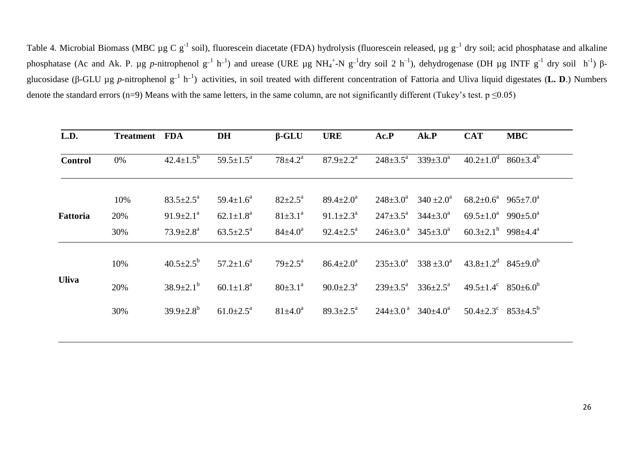Table 4. Microbial Biomass (MBC µg C  $g^{-1}$  soil), fluorescein diacetate (FDA) hydrolysis (fluorescein released, µg  $g^{-1}$  dry soil; acid phosphatase and alkaline phosphatase (Ac and Ak. P. μg *p*-nitrophenol g<sup>-1</sup> h<sup>-1</sup>) and urease (URE μg NH<sub>4</sub><sup>+</sup>-N g<sup>-1</sup>dry soil 2 h<sup>-1</sup>), dehydrogenase (DH μg INTF g<sup>-1</sup> dry soil h<sup>-1</sup>) βglucosidase (β-GLU μg *p*-nitrophenol g<sup>-1</sup> h<sup>-1</sup>) activities, in soil treated with different concentration of Fattoria and Uliva liquid digestates (**L. D**.) Numbers denote the standard errors (n=9) Means with the same letters, in the same column, are not significantly different (Tukey's test.  $p \le 0.05$ )

| L.D.            | <b>Treatment</b> | <b>FDA</b>                | DH                          | $\beta$ -GLU              | <b>URE</b>                  | Ac.P                     | Ak.P                                          | <b>CAT</b>                                             | <b>MBC</b>            |
|-----------------|------------------|---------------------------|-----------------------------|---------------------------|-----------------------------|--------------------------|-----------------------------------------------|--------------------------------------------------------|-----------------------|
| <b>Control</b>  | 0%               | $42.4 \pm 1.5^b$          | $59.5 \pm 1.5^{\text{a}}$   | $78 \pm 4.2^{\text{a}}$   | $87.9 \pm 2.2^{\mathrm{a}}$ | $248 \pm 3.5^{\circ}$    | $339 \pm 3.0^a$                               | $40.2 \pm 1.0^d$                                       | $860 \pm 3.4^{\circ}$ |
|                 | 10%              | $83.5 \pm 2.5^{\text{a}}$ | $59.4 \pm 1.6^a$            | $82 \pm 2.5^{\circ}$      | $89.4 \pm 2.0^a$            | $248 \pm 3.0^a$          | $340 \pm 2.0^{\circ}$                         | $68.2 \pm 0.6^a$ $965 \pm 7.0^a$                       |                       |
| <b>Fattoria</b> | 20%              | $91.9 \pm 2.1^a$          | $62.1 \pm 1.8^a$            | $81 \pm 3.1^{\circ}$      | $91.1 \pm 2.3^{\text{a}}$   | $247 \pm 3.5^{\text{a}}$ | $344 \pm 3.0^a$                               | $69.5 \pm 1.0^a$ 990 $\pm 5.0^a$                       |                       |
|                 | 30%              | $73.9 \pm 2.8^{\text{a}}$ | $63.5 \pm 2.5^{\text{a}}$   | $84{\pm}4.0^a$            | $92.4 \pm 2.5^{\text{a}}$   |                          | $246\pm3.0^{\text{a}}$ $345\pm3.0^{\text{a}}$ | 60.3 $\pm$ 2.1 <sup>b</sup> 998 $\pm$ 4.4 <sup>a</sup> |                       |
|                 | 10%              | $40.5 \pm 2.5^{\circ}$    | $57.2 \pm 1.6^{\circ}$      | $79 \pm 2.5^{\mathrm{a}}$ | $86.4 \pm 2.0^a$            | $235 \pm 3.0^{\circ}$    | $338 \pm 3.0^{\circ}$                         | $43.8 \pm 1.2$ <sup>d</sup> $845 \pm 9.0$ <sup>b</sup> |                       |
| <b>Uliva</b>    | 20%              | $38.9 \pm 2.1^{\rm b}$    | $60.1 \pm 1.8$ <sup>a</sup> | $80 \pm 3.1^{\circ}$      | $90.0 \pm 2.3^{\text{a}}$   | $239 \pm 3.5^{\text{a}}$ | $336 \pm 2.5^{\text{a}}$                      | $49.5 \pm 1.4^{\circ}$ $850 \pm 6.0^{\circ}$           |                       |
|                 | 30%              | $39.9 \pm 2.8^b$          | $61.0 \pm 2.5^{\text{a}}$   | $81{\pm}4.0^a$            | $89.3 \pm 2.5^{\text{a}}$   |                          | $244\pm3.0^{\text{a}}$ $340\pm4.0^{\text{a}}$ | 50.4 $\pm$ 2.3 <sup>c</sup> 853 $\pm$ 4.5 <sup>b</sup> |                       |
|                 |                  |                           |                             |                           |                             |                          |                                               |                                                        |                       |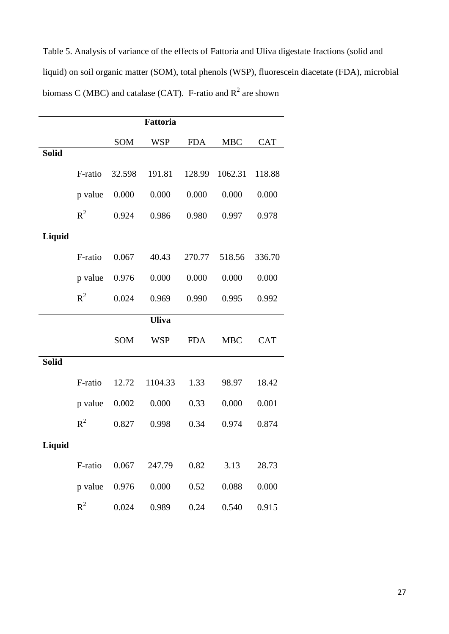Table 5. Analysis of variance of the effects of Fattoria and Uliva digestate fractions (solid and liquid) on soil organic matter (SOM), total phenols (WSP), fluorescein diacetate (FDA), microbial biomass C (MBC) and catalase (CAT). F-ratio and  $R^2$  are shown

|              | Fattoria |            |              |            |            |            |  |  |  |  |
|--------------|----------|------------|--------------|------------|------------|------------|--|--|--|--|
|              |          | SOM        | <b>WSP</b>   | <b>FDA</b> | <b>MBC</b> | <b>CAT</b> |  |  |  |  |
| <b>Solid</b> |          |            |              |            |            |            |  |  |  |  |
|              | F-ratio  | 32.598     | 191.81       | 128.99     | 1062.31    | 118.88     |  |  |  |  |
|              | p value  | 0.000      | 0.000        | 0.000      | 0.000      | 0.000      |  |  |  |  |
|              | $R^2$    | 0.924      | 0.986        | 0.980      | 0.997      | 0.978      |  |  |  |  |
| Liquid       |          |            |              |            |            |            |  |  |  |  |
|              | F-ratio  | 0.067      | 40.43        | 270.77     | 518.56     | 336.70     |  |  |  |  |
|              | p value  | 0.976      | 0.000        | 0.000      | 0.000      | 0.000      |  |  |  |  |
|              | $R^2$    | 0.024      | 0.969        | 0.990      | 0.995      | 0.992      |  |  |  |  |
|              |          |            | <b>Uliva</b> |            |            |            |  |  |  |  |
|              |          | <b>SOM</b> | <b>WSP</b>   | <b>FDA</b> | <b>MBC</b> | <b>CAT</b> |  |  |  |  |
| <b>Solid</b> |          |            |              |            |            |            |  |  |  |  |
|              | F-ratio  | 12.72      | 1104.33      | 1.33       | 98.97      | 18.42      |  |  |  |  |
|              | p value  | 0.002      | 0.000        | 0.33       | 0.000      | 0.001      |  |  |  |  |
|              | $R^2$    | 0.827      | 0.998        | 0.34       | 0.974      | 0.874      |  |  |  |  |
| Liquid       |          |            |              |            |            |            |  |  |  |  |
|              | F-ratio  | 0.067      | 247.79       | 0.82       | 3.13       | 28.73      |  |  |  |  |
|              | p value  | 0.976      | 0.000        | 0.52       | 0.088      | 0.000      |  |  |  |  |
|              | $R^2$    | 0.024      | 0.989        | 0.24       | 0.540      | 0.915      |  |  |  |  |